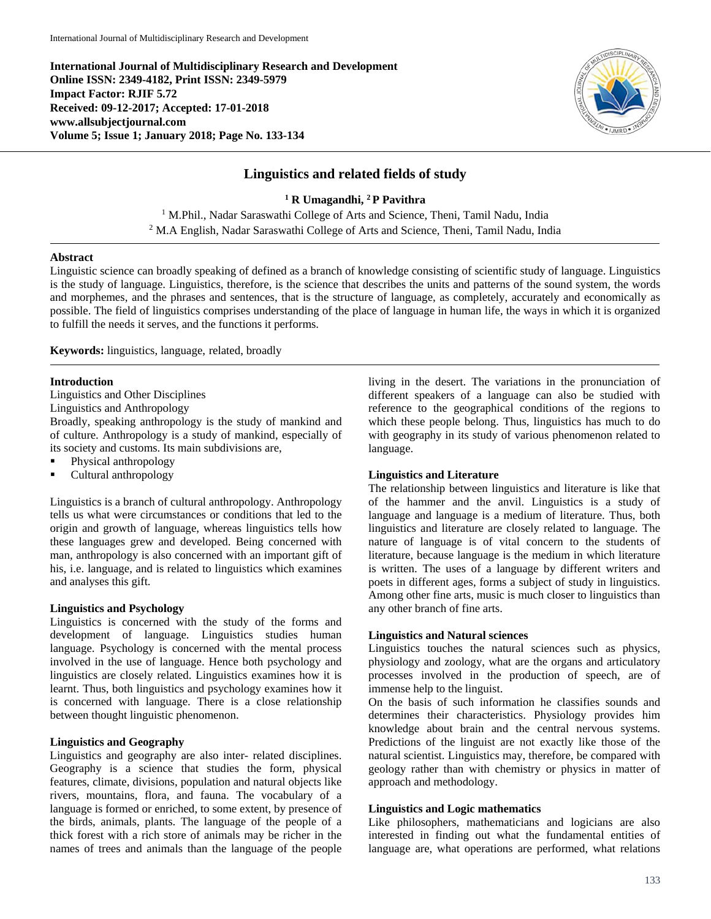**International Journal of Multidisciplinary Research and Development Online ISSN: 2349-4182, Print ISSN: 2349-5979 Impact Factor: RJIF 5.72 Received: 09-12-2017; Accepted: 17-01-2018 www.allsubjectjournal.com Volume 5; Issue 1; January 2018; Page No. 133-134**



# **Linguistics and related fields of study**

**<sup>1</sup> R Umagandhi, 2 P Pavithra**

<sup>1</sup> M.Phil., Nadar Saraswathi College of Arts and Science, Theni, Tamil Nadu, India <sup>2</sup> M.A English, Nadar Saraswathi College of Arts and Science, Theni, Tamil Nadu, India

#### **Abstract**

Linguistic science can broadly speaking of defined as a branch of knowledge consisting of scientific study of language. Linguistics is the study of language. Linguistics, therefore, is the science that describes the units and patterns of the sound system, the words and morphemes, and the phrases and sentences, that is the structure of language, as completely, accurately and economically as possible. The field of linguistics comprises understanding of the place of language in human life, the ways in which it is organized to fulfill the needs it serves, and the functions it performs.

**Keywords:** linguistics, language, related, broadly

#### **Introduction**

Linguistics and Other Disciplines

Linguistics and Anthropology

Broadly, speaking anthropology is the study of mankind and of culture. Anthropology is a study of mankind, especially of its society and customs. Its main subdivisions are,

- Physical anthropology
- **Cultural anthropology**

Linguistics is a branch of cultural anthropology. Anthropology tells us what were circumstances or conditions that led to the origin and growth of language, whereas linguistics tells how these languages grew and developed. Being concerned with man, anthropology is also concerned with an important gift of his, i.e. language, and is related to linguistics which examines and analyses this gift.

#### **Linguistics and Psychology**

Linguistics is concerned with the study of the forms and development of language. Linguistics studies human language. Psychology is concerned with the mental process involved in the use of language. Hence both psychology and linguistics are closely related. Linguistics examines how it is learnt. Thus, both linguistics and psychology examines how it is concerned with language. There is a close relationship between thought linguistic phenomenon.

## **Linguistics and Geography**

Linguistics and geography are also inter- related disciplines. Geography is a science that studies the form, physical features, climate, divisions, population and natural objects like rivers, mountains, flora, and fauna. The vocabulary of a language is formed or enriched, to some extent, by presence of the birds, animals, plants. The language of the people of a thick forest with a rich store of animals may be richer in the names of trees and animals than the language of the people

living in the desert. The variations in the pronunciation of different speakers of a language can also be studied with reference to the geographical conditions of the regions to which these people belong. Thus, linguistics has much to do with geography in its study of various phenomenon related to language.

#### **Linguistics and Literature**

The relationship between linguistics and literature is like that of the hammer and the anvil. Linguistics is a study of language and language is a medium of literature. Thus, both linguistics and literature are closely related to language. The nature of language is of vital concern to the students of literature, because language is the medium in which literature is written. The uses of a language by different writers and poets in different ages, forms a subject of study in linguistics. Among other fine arts, music is much closer to linguistics than any other branch of fine arts.

#### **Linguistics and Natural sciences**

Linguistics touches the natural sciences such as physics, physiology and zoology, what are the organs and articulatory processes involved in the production of speech, are of immense help to the linguist.

On the basis of such information he classifies sounds and determines their characteristics. Physiology provides him knowledge about brain and the central nervous systems. Predictions of the linguist are not exactly like those of the natural scientist. Linguistics may, therefore, be compared with geology rather than with chemistry or physics in matter of approach and methodology.

#### **Linguistics and Logic mathematics**

Like philosophers, mathematicians and logicians are also interested in finding out what the fundamental entities of language are, what operations are performed, what relations